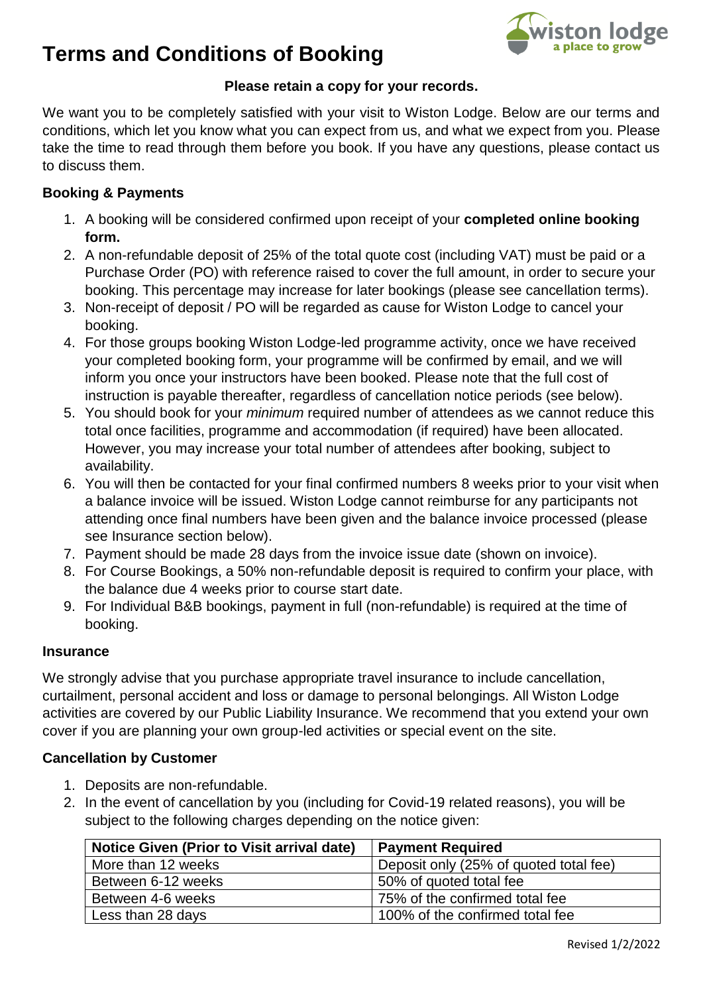# **Terms and Conditions of Booking**



## **Please retain a copy for your records.**

We want you to be completely satisfied with your visit to Wiston Lodge. Below are our terms and conditions, which let you know what you can expect from us, and what we expect from you. Please take the time to read through them before you book. If you have any questions, please contact us to discuss them.

### **Booking & Payments**

- 1. A booking will be considered confirmed upon receipt of your **completed online booking form.**
- 2. A non-refundable deposit of 25% of the total quote cost (including VAT) must be paid or a Purchase Order (PO) with reference raised to cover the full amount, in order to secure your booking. This percentage may increase for later bookings (please see cancellation terms).
- 3. Non-receipt of deposit / PO will be regarded as cause for Wiston Lodge to cancel your booking.
- 4. For those groups booking Wiston Lodge-led programme activity, once we have received your completed booking form, your programme will be confirmed by email, and we will inform you once your instructors have been booked. Please note that the full cost of instruction is payable thereafter, regardless of cancellation notice periods (see below).
- 5. You should book for your *minimum* required number of attendees as we cannot reduce this total once facilities, programme and accommodation (if required) have been allocated. However, you may increase your total number of attendees after booking, subject to availability.
- 6. You will then be contacted for your final confirmed numbers 8 weeks prior to your visit when a balance invoice will be issued. Wiston Lodge cannot reimburse for any participants not attending once final numbers have been given and the balance invoice processed (please see Insurance section below).
- 7. Payment should be made 28 days from the invoice issue date (shown on invoice).
- 8. For Course Bookings, a 50% non-refundable deposit is required to confirm your place, with the balance due 4 weeks prior to course start date.
- 9. For Individual B&B bookings, payment in full (non-refundable) is required at the time of booking.

### **Insurance**

We strongly advise that you purchase appropriate travel insurance to include cancellation, curtailment, personal accident and loss or damage to personal belongings. All Wiston Lodge activities are covered by our Public Liability Insurance. We recommend that you extend your own cover if you are planning your own group-led activities or special event on the site.

### **Cancellation by Customer**

- 1. Deposits are non-refundable.
- 2. In the event of cancellation by you (including for Covid-19 related reasons), you will be subject to the following charges depending on the notice given:

| <b>Notice Given (Prior to Visit arrival date)</b> | <b>Payment Required</b>                |
|---------------------------------------------------|----------------------------------------|
| More than 12 weeks                                | Deposit only (25% of quoted total fee) |
| Between 6-12 weeks                                | 50% of quoted total fee                |
| Between 4-6 weeks                                 | 75% of the confirmed total fee         |
| Less than 28 days                                 | 100% of the confirmed total fee        |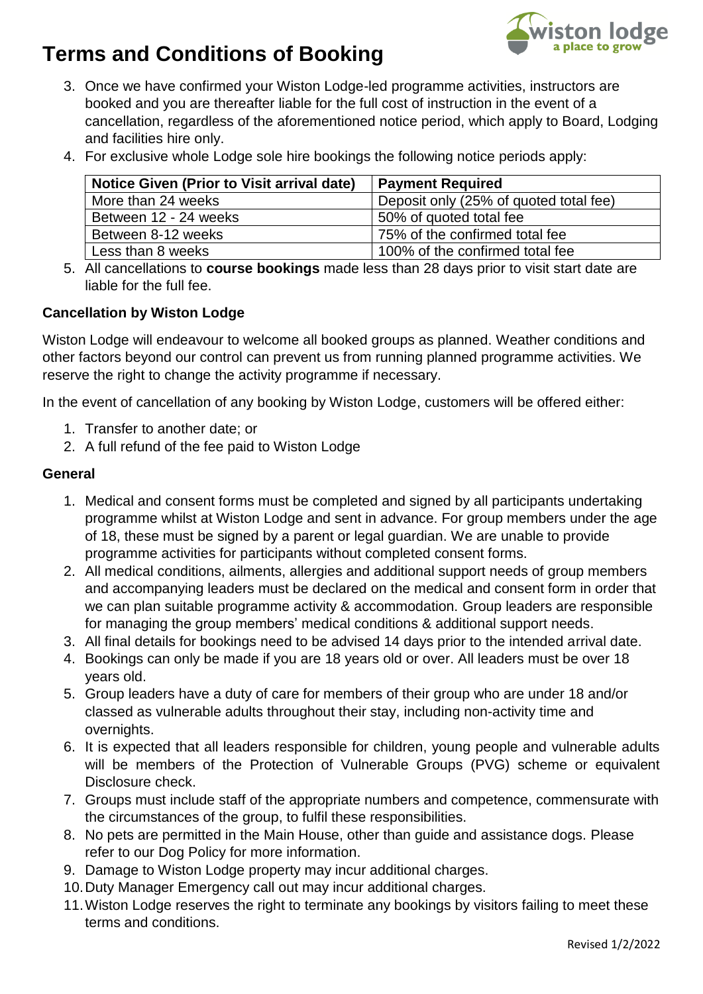# **Terms and Conditions of Booking**



- 3. Once we have confirmed your Wiston Lodge-led programme activities, instructors are booked and you are thereafter liable for the full cost of instruction in the event of a cancellation, regardless of the aforementioned notice period, which apply to Board, Lodging and facilities hire only.
- 4. For exclusive whole Lodge sole hire bookings the following notice periods apply:

| <b>Notice Given (Prior to Visit arrival date)</b> | <b>Payment Required</b>                |
|---------------------------------------------------|----------------------------------------|
| More than 24 weeks                                | Deposit only (25% of quoted total fee) |
| Between 12 - 24 weeks                             | 50% of quoted total fee                |
| Between 8-12 weeks                                | 75% of the confirmed total fee         |
| Less than 8 weeks                                 | 100% of the confirmed total fee        |

5. All cancellations to **course bookings** made less than 28 days prior to visit start date are liable for the full fee.

## **Cancellation by Wiston Lodge**

Wiston Lodge will endeavour to welcome all booked groups as planned. Weather conditions and other factors beyond our control can prevent us from running planned programme activities. We reserve the right to change the activity programme if necessary.

In the event of cancellation of any booking by Wiston Lodge, customers will be offered either:

- 1. Transfer to another date; or
- 2. A full refund of the fee paid to Wiston Lodge

### **General**

- 1. Medical and consent forms must be completed and signed by all participants undertaking programme whilst at Wiston Lodge and sent in advance. For group members under the age of 18, these must be signed by a parent or legal guardian. We are unable to provide programme activities for participants without completed consent forms.
- 2. All medical conditions, ailments, allergies and additional support needs of group members and accompanying leaders must be declared on the medical and consent form in order that we can plan suitable programme activity & accommodation. Group leaders are responsible for managing the group members' medical conditions & additional support needs.
- 3. All final details for bookings need to be advised 14 days prior to the intended arrival date.
- 4. Bookings can only be made if you are 18 years old or over. All leaders must be over 18 years old.
- 5. Group leaders have a duty of care for members of their group who are under 18 and/or classed as vulnerable adults throughout their stay, including non-activity time and overnights.
- 6. It is expected that all leaders responsible for children, young people and vulnerable adults will be members of the Protection of Vulnerable Groups (PVG) scheme or equivalent Disclosure check.
- 7. Groups must include staff of the appropriate numbers and competence, commensurate with the circumstances of the group, to fulfil these responsibilities.
- 8. No pets are permitted in the Main House, other than guide and assistance dogs. Please refer to our Dog Policy for more information.
- 9. Damage to Wiston Lodge property may incur additional charges.
- 10.Duty Manager Emergency call out may incur additional charges.
- 11.Wiston Lodge reserves the right to terminate any bookings by visitors failing to meet these terms and conditions.